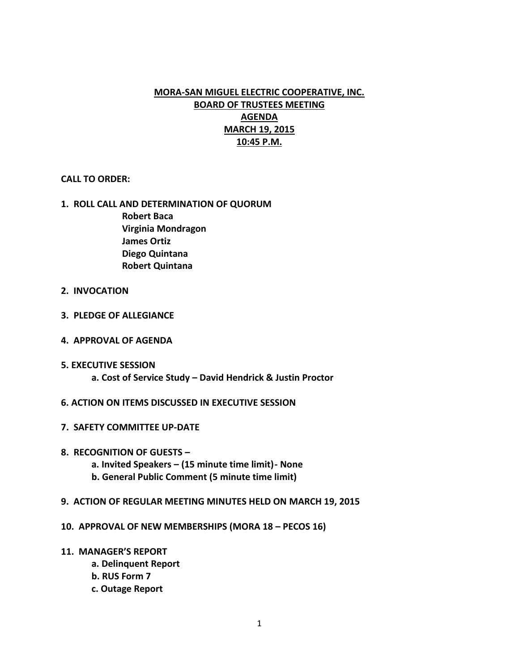# **MORA-SAN MIGUEL ELECTRIC COOPERATIVE, INC. BOARD OF TRUSTEES MEETING AGENDA MARCH 19, 2015 10:45 P.M.**

# **CALL TO ORDER:**

# **1. ROLL CALL AND DETERMINATION OF QUORUM**

**Robert Baca Virginia Mondragon James Ortiz Diego Quintana Robert Quintana**

- **2. INVOCATION**
- **3. PLEDGE OF ALLEGIANCE**
- **4. APPROVAL OF AGENDA**
- **5. EXECUTIVE SESSION**
	- **a. Cost of Service Study – David Hendrick & Justin Proctor**
- **6. ACTION ON ITEMS DISCUSSED IN EXECUTIVE SESSION**
- **7. SAFETY COMMITTEE UP-DATE**
- **8. RECOGNITION OF GUESTS –**
	- **a. Invited Speakers – (15 minute time limit)- None**
	- **b. General Public Comment (5 minute time limit)**
- **9. ACTION OF REGULAR MEETING MINUTES HELD ON MARCH 19, 2015**
- **10. APPROVAL OF NEW MEMBERSHIPS (MORA 18 – PECOS 16)**
- **11. MANAGER'S REPORT**
	- **a. Delinquent Report**
	- **b. RUS Form 7**
	- **c. Outage Report**